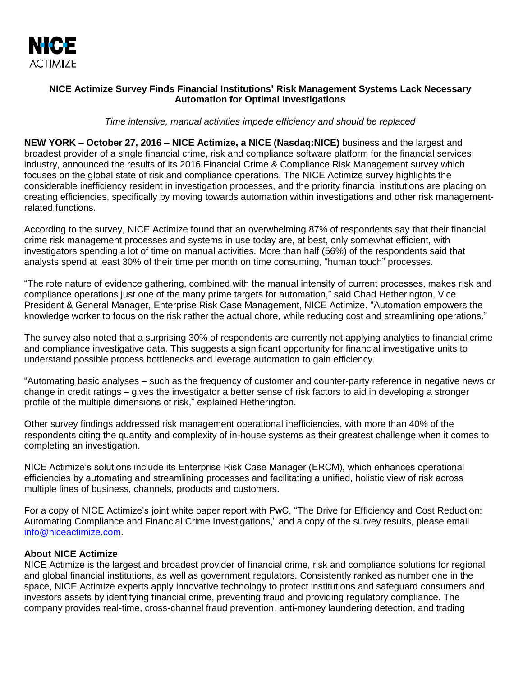

## **NICE Actimize Survey Finds Financial Institutions' Risk Management Systems Lack Necessary Automation for Optimal Investigations**

*Time intensive, manual activities impede efficiency and should be replaced* 

**NEW YORK – October 27, 2016 – NICE Actimize, a NICE (Nasdaq:NICE)** business and the largest and broadest provider of a single financial crime, risk and compliance software platform for the financial services industry, announced the results of its 2016 Financial Crime & Compliance Risk Management survey which focuses on the global state of risk and compliance operations. The NICE Actimize survey highlights the considerable inefficiency resident in investigation processes, and the priority financial institutions are placing on creating efficiencies, specifically by moving towards automation within investigations and other risk managementrelated functions.

According to the survey, NICE Actimize found that an overwhelming 87% of respondents say that their financial crime risk management processes and systems in use today are, at best, only somewhat efficient, with investigators spending a lot of time on manual activities. More than half (56%) of the respondents said that analysts spend at least 30% of their time per month on time consuming, "human touch" processes.

"The rote nature of evidence gathering, combined with the manual intensity of current processes, makes risk and compliance operations just one of the many prime targets for automation," said Chad Hetherington, Vice President & General Manager, Enterprise Risk Case Management, NICE Actimize. "Automation empowers the knowledge worker to focus on the risk rather the actual chore, while reducing cost and streamlining operations."

The survey also noted that a surprising 30% of respondents are currently not applying analytics to financial crime and compliance investigative data. This suggests a significant opportunity for financial investigative units to understand possible process bottlenecks and leverage automation to gain efficiency.

"Automating basic analyses – such as the frequency of customer and counter-party reference in negative news or change in credit ratings – gives the investigator a better sense of risk factors to aid in developing a stronger profile of the multiple dimensions of risk," explained Hetherington.

Other survey findings addressed risk management operational inefficiencies, with more than 40% of the respondents citing the quantity and complexity of in-house systems as their greatest challenge when it comes to completing an investigation.

NICE Actimize's solutions include its Enterprise Risk Case Manager (ERCM), which enhances operational efficiencies by automating and streamlining processes and facilitating a unified, holistic view of risk across multiple lines of business, channels, products and customers.

For a copy of NICE Actimize's joint white paper report with PwC, "The Drive for Efficiency and Cost Reduction: Automating Compliance and Financial Crime Investigations," and a copy of the survey results, please email [info@niceactimize.com.](file:///C:/Users/ilanah/Documents/Press%20Releases/MAT%20LEAVE%20catch%20up/ERCM%20survey%202016/info@niceactimize.com)

## **About NICE Actimize**

NICE Actimize is the largest and broadest provider of financial crime, risk and compliance solutions for regional and global financial institutions, as well as government regulators. Consistently ranked as number one in the space, NICE Actimize experts apply innovative technology to protect institutions and safeguard consumers and investors assets by identifying financial crime, preventing fraud and providing regulatory compliance. The company provides real-time, cross-channel fraud prevention, anti-money laundering detection, and trading